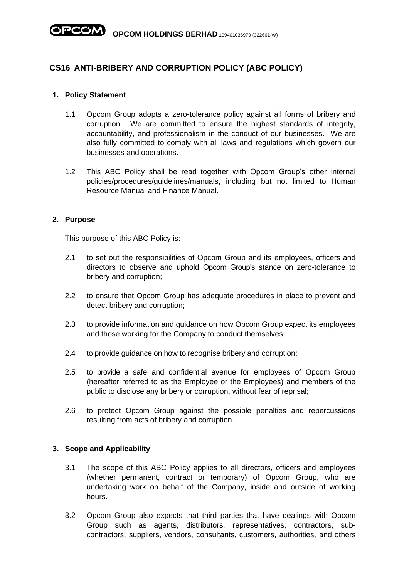# **CS16 ANTI-BRIBERY AND CORRUPTION POLICY (ABC POLICY)**

### **1. Policy Statement**

- 1.1 Opcom Group adopts a zero-tolerance policy against all forms of bribery and corruption. We are committed to ensure the highest standards of integrity, accountability, and professionalism in the conduct of our businesses. We are also fully committed to comply with all laws and regulations which govern our businesses and operations.
- 1.2 This ABC Policy shall be read together with Opcom Group's other internal policies/procedures/guidelines/manuals, including but not limited to Human Resource Manual and Finance Manual.

### **2. Purpose**

This purpose of this ABC Policy is:

- 2.1 to set out the responsibilities of Opcom Group and its employees, officers and directors to observe and uphold Opcom Group's stance on zero-tolerance to bribery and corruption;
- 2.2 to ensure that Opcom Group has adequate procedures in place to prevent and detect bribery and corruption;
- 2.3 to provide information and guidance on how Opcom Group expect its employees and those working for the Company to conduct themselves;
- 2.4 to provide guidance on how to recognise bribery and corruption;
- 2.5 to provide a safe and confidential avenue for employees of Opcom Group (hereafter referred to as the Employee or the Employees) and members of the public to disclose any bribery or corruption, without fear of reprisal;
- 2.6 to protect Opcom Group against the possible penalties and repercussions resulting from acts of bribery and corruption.

### **3. Scope and Applicability**

- 3.1 The scope of this ABC Policy applies to all directors, officers and employees (whether permanent, contract or temporary) of Opcom Group, who are undertaking work on behalf of the Company, inside and outside of working hours.
- 3.2 Opcom Group also expects that third parties that have dealings with Opcom Group such as agents, distributors, representatives, contractors, subcontractors, suppliers, vendors, consultants, customers, authorities, and others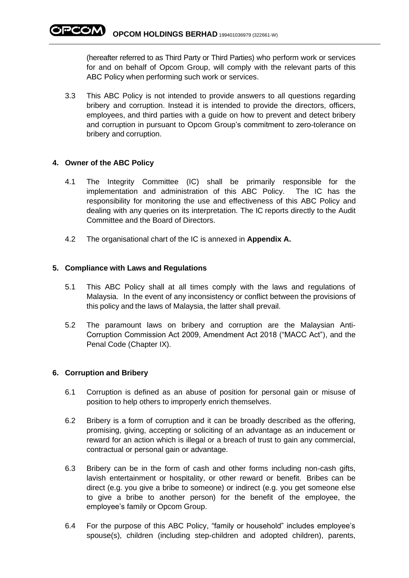(hereafter referred to as Third Party or Third Parties) who perform work or services for and on behalf of Opcom Group, will comply with the relevant parts of this ABC Policy when performing such work or services.

3.3 This ABC Policy is not intended to provide answers to all questions regarding bribery and corruption. Instead it is intended to provide the directors, officers, employees, and third parties with a guide on how to prevent and detect bribery and corruption in pursuant to Opcom Group's commitment to zero-tolerance on bribery and corruption.

## **4. Owner of the ABC Policy**

- 4.1 The Integrity Committee (IC) shall be primarily responsible for the implementation and administration of this ABC Policy. The IC has the responsibility for monitoring the use and effectiveness of this ABC Policy and dealing with any queries on its interpretation. The IC reports directly to the Audit Committee and the Board of Directors.
- 4.2 The organisational chart of the IC is annexed in **Appendix A.**

## **5. Compliance with Laws and Regulations**

- 5.1 This ABC Policy shall at all times comply with the laws and regulations of Malaysia. In the event of any inconsistency or conflict between the provisions of this policy and the laws of Malaysia, the latter shall prevail.
- 5.2 The paramount laws on bribery and corruption are the Malaysian Anti-Corruption Commission Act 2009, Amendment Act 2018 ("MACC Act"), and the Penal Code (Chapter IX).

### **6. Corruption and Bribery**

- 6.1 Corruption is defined as an abuse of position for personal gain or misuse of position to help others to improperly enrich themselves.
- 6.2 Bribery is a form of corruption and it can be broadly described as the offering, promising, giving, accepting or soliciting of an advantage as an inducement or reward for an action which is illegal or a breach of trust to gain any commercial, contractual or personal gain or advantage.
- 6.3 Bribery can be in the form of cash and other forms including non-cash gifts, lavish entertainment or hospitality, or other reward or benefit. Bribes can be direct (e.g. you give a bribe to someone) or indirect (e.g. you get someone else to give a bribe to another person) for the benefit of the employee, the employee's family or Opcom Group.
- 6.4 For the purpose of this ABC Policy, "family or household" includes employee's spouse(s), children (including step-children and adopted children), parents,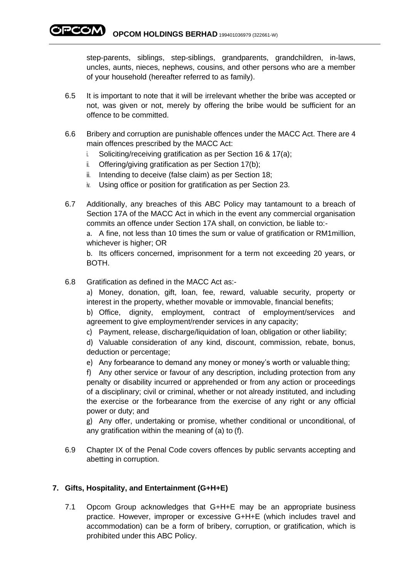PCOM) **OPCOM HOLDINGS BERHAD** 199401036979 (322661-W)

> step-parents, siblings, step-siblings, grandparents, grandchildren, in-laws, uncles, aunts, nieces, nephews, cousins, and other persons who are a member of your household (hereafter referred to as family).

- 6.5 It is important to note that it will be irrelevant whether the bribe was accepted or not, was given or not, merely by offering the bribe would be sufficient for an offence to be committed.
- 6.6 Bribery and corruption are punishable offences under the MACC Act. There are 4 main offences prescribed by the MACC Act:
	- i. Soliciting/receiving gratification as per Section 16 & 17(a);
	- ii. Offering/giving gratification as per Section 17(b);
	- iii. Intending to deceive (false claim) as per Section 18;
	- iv. Using office or position for gratification as per Section 23.
- 6.7 Additionally, any breaches of this ABC Policy may tantamount to a breach of Section 17A of the MACC Act in which in the event any commercial organisation commits an offence under Section 17A shall, on conviction, be liable to:-

a. A fine, not less than 10 times the sum or value of gratification or RM1million, whichever is higher; OR

b. Its officers concerned, imprisonment for a term not exceeding 20 years, or BOTH.

6.8 Gratification as defined in the MACC Act as:-

a) Money, donation, gift, loan, fee, reward, valuable security, property or interest in the property, whether movable or immovable, financial benefits; b) Office, dignity, employment, contract of employment/services and agreement to give employment/render services in any capacity;

c) Payment, release, discharge/liquidation of loan, obligation or other liability;

d) Valuable consideration of any kind, discount, commission, rebate, bonus, deduction or percentage;

e) Any forbearance to demand any money or money's worth or valuable thing;

f) Any other service or favour of any description, including protection from any penalty or disability incurred or apprehended or from any action or proceedings of a disciplinary; civil or criminal, whether or not already instituted, and including the exercise or the forbearance from the exercise of any right or any official power or duty; and

g) Any offer, undertaking or promise, whether conditional or unconditional, of any gratification within the meaning of (a) to (f).

6.9 Chapter IX of the Penal Code covers offences by public servants accepting and abetting in corruption.

## **7. Gifts, Hospitality, and Entertainment (G+H+E)**

7.1 Opcom Group acknowledges that G+H+E may be an appropriate business practice. However, improper or excessive G+H+E (which includes travel and accommodation) can be a form of bribery, corruption, or gratification, which is prohibited under this ABC Policy.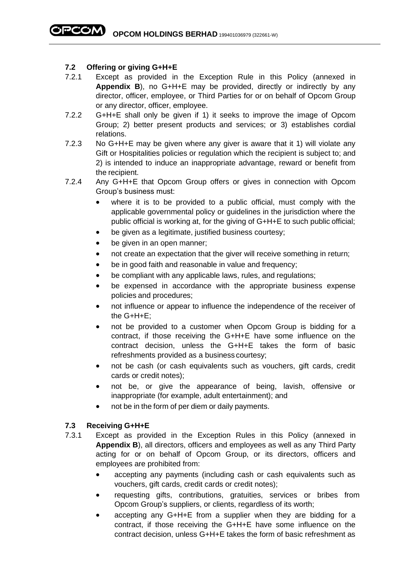## **7.2 Offering or giving G+H+E**

- 7.2.1 Except as provided in the Exception Rule in this Policy (annexed in **Appendix B**), no G+H+E may be provided, directly or indirectly by any director, officer, employee, or Third Parties for or on behalf of Opcom Group or any director, officer, employee.
- 7.2.2 G+H+E shall only be given if 1) it seeks to improve the image of Opcom Group; 2) better present products and services; or 3) establishes cordial relations.
- 7.2.3 No G+H+E may be given where any giver is aware that it 1) will violate any Gift or Hospitalities policies or regulation which the recipient is subject to; and 2) is intended to induce an inappropriate advantage, reward or benefit from the recipient.
- 7.2.4 Any G+H+E that Opcom Group offers or gives in connection with Opcom Group's business must:
	- where it is to be provided to a public official, must comply with the applicable governmental policy or guidelines in the jurisdiction where the public official is working at, for the giving of G+H+E to such public official;
	- be given as a legitimate, justified business courtesy;
	- be given in an open manner;
	- not create an expectation that the giver will receive something in return;
	- be in good faith and reasonable in value and frequency;
	- be compliant with any applicable laws, rules, and regulations;
	- be expensed in accordance with the appropriate business expense policies and procedures;
	- not influence or appear to influence the independence of the receiver of the G+H+E;
	- not be provided to a customer when Opcom Group is bidding for a contract, if those receiving the G+H+E have some influence on the contract decision, unless the G+H+E takes the form of basic refreshments provided as a business courtesy;
	- not be cash (or cash equivalents such as vouchers, gift cards, credit cards or credit notes);
	- not be, or give the appearance of being, lavish, offensive or inappropriate (for example, adult entertainment); and
	- not be in the form of per diem or daily payments.

### **7.3 Receiving G+H+E**

- 7.3.1 Except as provided in the Exception Rules in this Policy (annexed in **Appendix B**), all directors, officers and employees as well as any Third Party acting for or on behalf of Opcom Group, or its directors, officers and employees are prohibited from:
	- accepting any payments (including cash or cash equivalents such as vouchers, gift cards, credit cards or credit notes);
	- requesting gifts, contributions, gratuities, services or bribes from Opcom Group's suppliers, or clients, regardless of its worth;
	- accepting any G+H+E from a supplier when they are bidding for a contract, if those receiving the G+H+E have some influence on the contract decision, unless G+H+E takes the form of basic refreshment as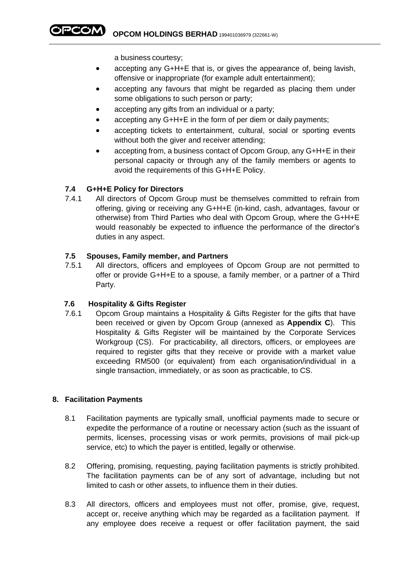**OPCOM HOLDINGS BERHAD** 199401036979 (322661-W)

a business courtesy;

- accepting any G+H+E that is, or gives the appearance of, being lavish, offensive or inappropriate (for example adult entertainment);
- accepting any favours that might be regarded as placing them under some obligations to such person or party;
- accepting any gifts from an individual or a party;
- accepting any G+H+E in the form of per diem or daily payments;
- accepting tickets to entertainment, cultural, social or sporting events without both the giver and receiver attending:
- accepting from, a business contact of Opcom Group, any G+H+E in their personal capacity or through any of the family members or agents to avoid the requirements of this G+H+E Policy.

## **7.4 G+H+E Policy for Directors**

7.4.1 All directors of Opcom Group must be themselves committed to refrain from offering, giving or receiving any G+H+E (in-kind, cash, advantages, favour or otherwise) from Third Parties who deal with Opcom Group, where the G+H+E would reasonably be expected to influence the performance of the director's duties in any aspect.

### **7.5 Spouses, Family member, and Partners**

7.5.1 All directors, officers and employees of Opcom Group are not permitted to offer or provide G+H+E to a spouse, a family member, or a partner of a Third Party.

### **7.6 Hospitality & Gifts Register**

7.6.1 Opcom Group maintains a Hospitality & Gifts Register for the gifts that have been received or given by Opcom Group (annexed as **Appendix C**). This Hospitality & Gifts Register will be maintained by the Corporate Services Workgroup (CS). For practicability, all directors, officers, or employees are required to register gifts that they receive or provide with a market value exceeding RM500 (or equivalent) from each organisation/individual in a single transaction, immediately, or as soon as practicable, to CS.

## **8. Facilitation Payments**

- 8.1 Facilitation payments are typically small, unofficial payments made to secure or expedite the performance of a routine or necessary action (such as the issuant of permits, licenses, processing visas or work permits, provisions of mail pick-up service, etc) to which the payer is entitled, legally or otherwise.
- 8.2 Offering, promising, requesting, paying facilitation payments is strictly prohibited. The facilitation payments can be of any sort of advantage, including but not limited to cash or other assets, to influence them in their duties.
- 8.3 All directors, officers and employees must not offer, promise, give, request, accept or, receive anything which may be regarded as a facilitation payment. If any employee does receive a request or offer facilitation payment, the said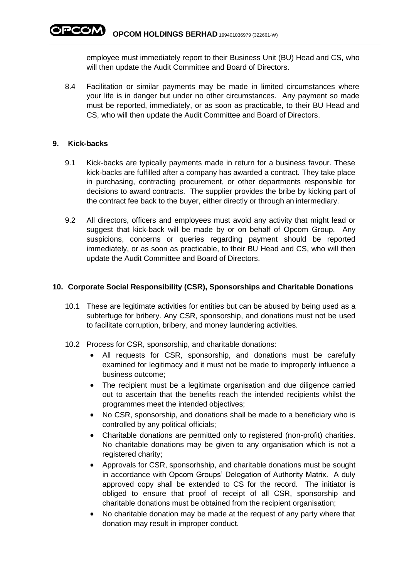employee must immediately report to their Business Unit (BU) Head and CS, who will then update the Audit Committee and Board of Directors.

8.4 Facilitation or similar payments may be made in limited circumstances where your life is in danger but under no other circumstances. Any payment so made must be reported, immediately, or as soon as practicable, to their BU Head and CS, who will then update the Audit Committee and Board of Directors.

### **9. Kick-backs**

- 9.1 Kick-backs are typically payments made in return for a business favour. These kick-backs are fulfilled after a company has awarded a contract. They take place in purchasing, contracting procurement, or other departments responsible for decisions to award contracts. The supplier provides the bribe by kicking part of the contract fee back to the buyer, either directly or through an intermediary.
- 9.2 All directors, officers and employees must avoid any activity that might lead or suggest that kick-back will be made by or on behalf of Opcom Group. Any suspicions, concerns or queries regarding payment should be reported immediately, or as soon as practicable, to their BU Head and CS, who will then update the Audit Committee and Board of Directors.

## **10. Corporate Social Responsibility (CSR), Sponsorships and Charitable Donations**

- 10.1 These are legitimate activities for entities but can be abused by being used as a subterfuge for bribery. Any CSR, sponsorship, and donations must not be used to facilitate corruption, bribery, and money laundering activities.
- 10.2 Process for CSR, sponsorship, and charitable donations:
	- All requests for CSR, sponsorship, and donations must be carefully examined for legitimacy and it must not be made to improperly influence a business outcome;
	- The recipient must be a legitimate organisation and due diligence carried out to ascertain that the benefits reach the intended recipients whilst the programmes meet the intended objectives;
	- No CSR, sponsorship, and donations shall be made to a beneficiary who is controlled by any political officials;
	- Charitable donations are permitted only to registered (non-profit) charities. No charitable donations may be given to any organisation which is not a registered charity;
	- Approvals for CSR, sponsorhship, and charitable donations must be sought in accordance with Opcom Groups' Delegation of Authority Matrix. A duly approved copy shall be extended to CS for the record. The initiator is obliged to ensure that proof of receipt of all CSR, sponsorship and charitable donations must be obtained from the recipient organisation;
	- No charitable donation may be made at the request of any party where that donation may result in improper conduct.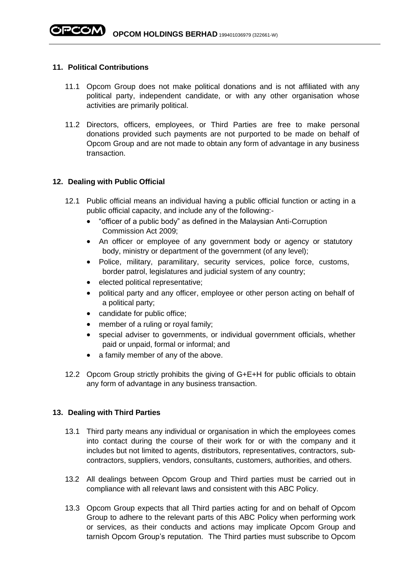#### **11. Political Contributions**

- 11.1 Opcom Group does not make political donations and is not affiliated with any political party, independent candidate, or with any other organisation whose activities are primarily political.
- 11.2 Directors, officers, employees, or Third Parties are free to make personal donations provided such payments are not purported to be made on behalf of Opcom Group and are not made to obtain any form of advantage in any business transaction.

### **12. Dealing with Public Official**

- 12.1 Public official means an individual having a public official function or acting in a public official capacity, and include any of the following:-
	- "officer of a public body" as defined in the Malaysian Anti-Corruption Commission Act 2009;
	- An officer or employee of any government body or agency or statutory body, ministry or department of the government (of any level);
	- Police, military, paramilitary, security services, police force, customs, border patrol, legislatures and judicial system of any country;
	- elected political representative;
	- political party and any officer, employee or other person acting on behalf of a political party;
	- candidate for public office;
	- member of a ruling or royal family;
	- special adviser to governments, or individual government officials, whether paid or unpaid, formal or informal; and
	- a family member of any of the above.
- 12.2 Opcom Group strictly prohibits the giving of G+E+H for public officials to obtain any form of advantage in any business transaction.

### **13. Dealing with Third Parties**

- 13.1 Third party means any individual or organisation in which the employees comes into contact during the course of their work for or with the company and it includes but not limited to agents, distributors, representatives, contractors, subcontractors, suppliers, vendors, consultants, customers, authorities, and others.
- 13.2 All dealings between Opcom Group and Third parties must be carried out in compliance with all relevant laws and consistent with this ABC Policy.
- 13.3 Opcom Group expects that all Third parties acting for and on behalf of Opcom Group to adhere to the relevant parts of this ABC Policy when performing work or services, as their conducts and actions may implicate Opcom Group and tarnish Opcom Group's reputation. The Third parties must subscribe to Opcom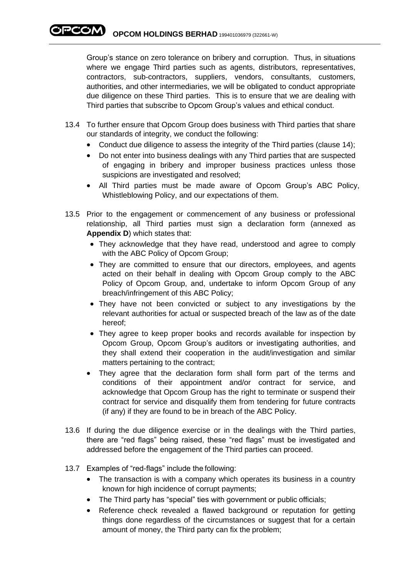**OPCOM HOLDINGS BERHAD** 199401036979 (322661-W)

Group's stance on zero tolerance on bribery and corruption. Thus, in situations where we engage Third parties such as agents, distributors, representatives, contractors, sub-contractors, suppliers, vendors, consultants, customers, authorities, and other intermediaries, we will be obligated to conduct appropriate due diligence on these Third parties. This is to ensure that we are dealing with Third parties that subscribe to Opcom Group's values and ethical conduct.

- 13.4 To further ensure that Opcom Group does business with Third parties that share our standards of integrity, we conduct the following:
	- Conduct due diligence to assess the integrity of the Third parties (clause 14);
	- Do not enter into business dealings with any Third parties that are suspected of engaging in bribery and improper business practices unless those suspicions are investigated and resolved;
	- All Third parties must be made aware of Opcom Group's ABC Policy, Whistleblowing Policy, and our expectations of them.
- 13.5 Prior to the engagement or commencement of any business or professional relationship, all Third parties must sign a declaration form (annexed as **Appendix D**) which states that:
	- They acknowledge that they have read, understood and agree to comply with the ABC Policy of Opcom Group;
	- They are committed to ensure that our directors, employees, and agents acted on their behalf in dealing with Opcom Group comply to the ABC Policy of Opcom Group, and, undertake to inform Opcom Group of any breach/infringement of this ABC Policy;
	- They have not been convicted or subject to any investigations by the relevant authorities for actual or suspected breach of the law as of the date hereof;
	- They agree to keep proper books and records available for inspection by Opcom Group, Opcom Group's auditors or investigating authorities, and they shall extend their cooperation in the audit/investigation and similar matters pertaining to the contract;
	- They agree that the declaration form shall form part of the terms and conditions of their appointment and/or contract for service, and acknowledge that Opcom Group has the right to terminate or suspend their contract for service and disqualify them from tendering for future contracts (if any) if they are found to be in breach of the ABC Policy.
- 13.6 If during the due diligence exercise or in the dealings with the Third parties, there are "red flags" being raised, these "red flags" must be investigated and addressed before the engagement of the Third parties can proceed.
- 13.7 Examples of "red-flags" include the following:
	- The transaction is with a company which operates its business in a country known for high incidence of corrupt payments;
	- The Third party has "special" ties with government or public officials;
	- Reference check revealed a flawed background or reputation for getting things done regardless of the circumstances or suggest that for a certain amount of money, the Third party can fix the problem;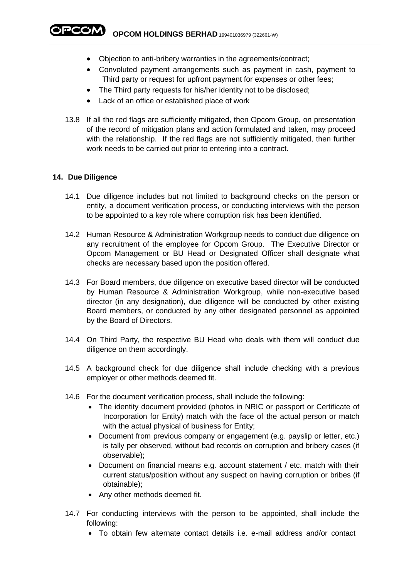**PCOM** OPCOM HOLDINGS BERHAD 199401036979 (322661-W)

- Objection to anti-bribery warranties in the agreements/contract;
- Convoluted payment arrangements such as payment in cash, payment to Third party or request for upfront payment for expenses or other fees;
- The Third party requests for his/her identity not to be disclosed;
- Lack of an office or established place of work
- 13.8 If all the red flags are sufficiently mitigated, then Opcom Group, on presentation of the record of mitigation plans and action formulated and taken, may proceed with the relationship. If the red flags are not sufficiently mitigated, then further work needs to be carried out prior to entering into a contract.

#### **14. Due Diligence**

- 14.1 Due diligence includes but not limited to background checks on the person or entity, a document verification process, or conducting interviews with the person to be appointed to a key role where corruption risk has been identified.
- 14.2 Human Resource & Administration Workgroup needs to conduct due diligence on any recruitment of the employee for Opcom Group. The Executive Director or Opcom Management or BU Head or Designated Officer shall designate what checks are necessary based upon the position offered.
- 14.3 For Board members, due diligence on executive based director will be conducted by Human Resource & Administration Workgroup, while non-executive based director (in any designation), due diligence will be conducted by other existing Board members, or conducted by any other designated personnel as appointed by the Board of Directors.
- 14.4 On Third Party, the respective BU Head who deals with them will conduct due diligence on them accordingly.
- 14.5 A background check for due diligence shall include checking with a previous employer or other methods deemed fit.
- 14.6 For the document verification process, shall include the following:
	- The identity document provided (photos in NRIC or passport or Certificate of Incorporation for Entity) match with the face of the actual person or match with the actual physical of business for Entity;
	- Document from previous company or engagement (e.g. payslip or letter, etc.) is tally per observed, without bad records on corruption and bribery cases (if observable);
	- Document on financial means e.g. account statement / etc. match with their current status/position without any suspect on having corruption or bribes (if obtainable);
	- Any other methods deemed fit.
- 14.7 For conducting interviews with the person to be appointed, shall include the following:
	- To obtain few alternate contact details i.e. e-mail address and/or contact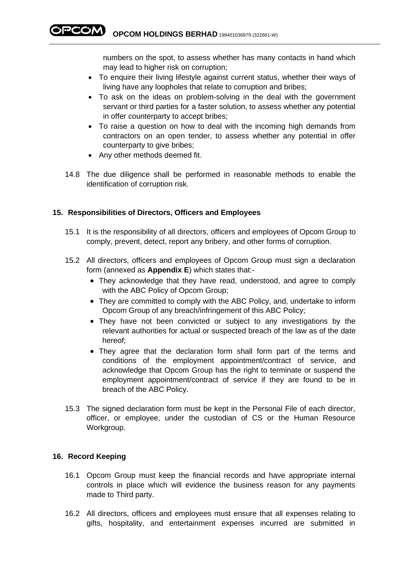**OPCOM HOLDINGS BERHAD** 199401036979 (322661-W)

numbers on the spot, to assess whether has many contacts in hand which may lead to higher risk on corruption;

- To enquire their living lifestyle against current status, whether their ways of living have any loopholes that relate to corruption and bribes;
- To ask on the ideas on problem-solving in the deal with the government servant or third parties for a faster solution, to assess whether any potential in offer counterparty to accept bribes;
- To raise a question on how to deal with the incoming high demands from contractors on an open tender, to assess whether any potential in offer counterparty to give bribes;
- Any other methods deemed fit.
- 14.8 The due diligence shall be performed in reasonable methods to enable the identification of corruption risk.

#### **15. Responsibilities of Directors, Officers and Employees**

- 15.1 It is the responsibility of all directors, officers and employees of Opcom Group to comply, prevent, detect, report any bribery, and other forms of corruption.
- 15.2 All directors, officers and employees of Opcom Group must sign a declaration form (annexed as **Appendix E**) which states that:-
	- They acknowledge that they have read, understood, and agree to comply with the ABC Policy of Opcom Group;
	- They are committed to comply with the ABC Policy, and, undertake to inform Opcom Group of any breach/infringement of this ABC Policy;
	- They have not been convicted or subject to any investigations by the relevant authorities for actual or suspected breach of the law as of the date hereof;
	- They agree that the declaration form shall form part of the terms and conditions of the employment appointment/contract of service, and acknowledge that Opcom Group has the right to terminate or suspend the employment appointment/contract of service if they are found to be in breach of the ABC Policy.
- 15.3 The signed declaration form must be kept in the Personal File of each director, officer, or employee, under the custodian of CS or the Human Resource Workgroup.

#### **16. Record Keeping**

- 16.1 Opcom Group must keep the financial records and have appropriate internal controls in place which will evidence the business reason for any payments made to Third party.
- 16.2 All directors, officers and employees must ensure that all expenses relating to gifts, hospitality, and entertainment expenses incurred are submitted in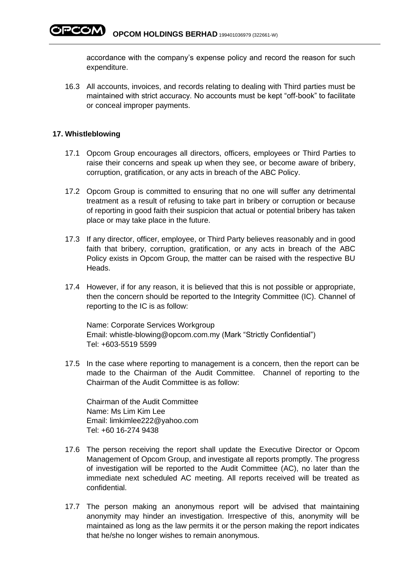accordance with the company's expense policy and record the reason for such expenditure.

16.3 All accounts, invoices, and records relating to dealing with Third parties must be maintained with strict accuracy. No accounts must be kept "off-book" to facilitate or conceal improper payments.

#### **17. Whistleblowing**

- 17.1 Opcom Group encourages all directors, officers, employees or Third Parties to raise their concerns and speak up when they see, or become aware of bribery, corruption, gratification, or any acts in breach of the ABC Policy.
- 17.2 Opcom Group is committed to ensuring that no one will suffer any detrimental treatment as a result of refusing to take part in bribery or corruption or because of reporting in good faith their suspicion that actual or potential bribery has taken place or may take place in the future.
- 17.3 If any director, officer, employee, or Third Party believes reasonably and in good faith that bribery, corruption, gratification, or any acts in breach of the ABC Policy exists in Opcom Group, the matter can be raised with the respective BU Heads.
- 17.4 However, if for any reason, it is believed that this is not possible or appropriate, then the concern should be reported to the Integrity Committee (IC). Channel of reporting to the IC is as follow:

Name: Corporate Services Workgroup Email: [whistle-blowing@opcom.com.my](mailto:whistle-blowing@opcom.com.my) (Mark "Strictly Confidential") Tel: +603-5519 5599

17.5 In the case where reporting to management is a concern, then the report can be made to the Chairman of the Audit Committee. Channel of reporting to the Chairman of the Audit Committee is as follow:

Chairman of the Audit Committee Name: Ms Lim Kim Lee Email: limkimlee222@yahoo.com Tel: +60 16-274 9438

- 17.6 The person receiving the report shall update the Executive Director or Opcom Management of Opcom Group, and investigate all reports promptly. The progress of investigation will be reported to the Audit Committee (AC), no later than the immediate next scheduled AC meeting. All reports received will be treated as confidential.
- 17.7 The person making an anonymous report will be advised that maintaining anonymity may hinder an investigation. Irrespective of this, anonymity will be maintained as long as the law permits it or the person making the report indicates that he/she no longer wishes to remain anonymous.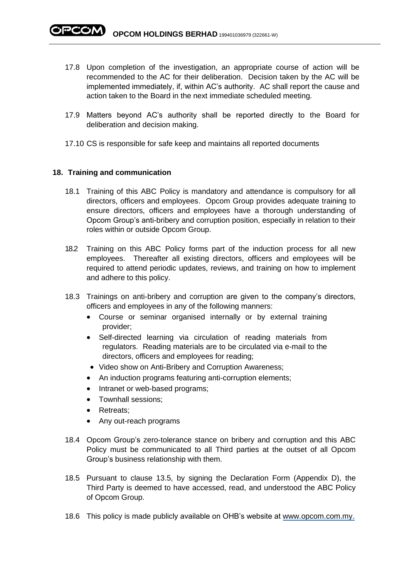- 17.8 Upon completion of the investigation, an appropriate course of action will be recommended to the AC for their deliberation. Decision taken by the AC will be implemented immediately, if, within AC's authority. AC shall report the cause and action taken to the Board in the next immediate scheduled meeting.
- 17.9 Matters beyond AC's authority shall be reported directly to the Board for deliberation and decision making.
- 17.10 CS is responsible for safe keep and maintains all reported documents

### **18. Training and communication**

- 18.1 Training of this ABC Policy is mandatory and attendance is compulsory for all directors, officers and employees. Opcom Group provides adequate training to ensure directors, officers and employees have a thorough understanding of Opcom Group's anti-bribery and corruption position, especially in relation to their roles within or outside Opcom Group.
- 18.2 Training on this ABC Policy forms part of the induction process for all new employees. Thereafter all existing directors, officers and employees will be required to attend periodic updates, reviews, and training on how to implement and adhere to this policy.
- 18.3 Trainings on anti-bribery and corruption are given to the company's directors, officers and employees in any of the following manners:
	- Course or seminar organised internally or by external training provider;
	- Self-directed learning via circulation of reading materials from regulators. Reading materials are to be circulated via e-mail to the directors, officers and employees for reading;
	- Video show on Anti-Bribery and Corruption Awareness;
	- An induction programs featuring anti-corruption elements;
	- Intranet or web-based programs;
	- Townhall sessions;
	- Retreats:
	- Any out-reach programs
- 18.4 Opcom Group's zero-tolerance stance on bribery and corruption and this ABC Policy must be communicated to all Third parties at the outset of all Opcom Group's business relationship with them.
- 18.5 Pursuant to clause 13.5, by signing the Declaration Form (Appendix D), the Third Party is deemed to have accessed, read, and understood the ABC Policy of Opcom Group.
- 18.6 This policy is made publicly available on OHB's website at [www.opcom.com.my.](http://www.opcom.com.my/)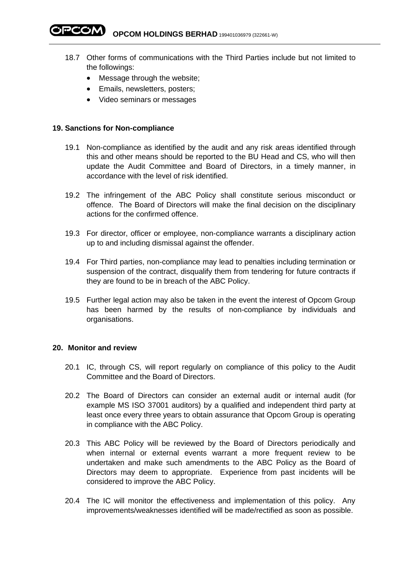**PCOM** OPCOM HOLDINGS BERHAD 199401036979 (322661-W)

- 18.7 Other forms of communications with the Third Parties include but not limited to the followings:
	- Message through the website;
	- Emails, newsletters, posters;
	- Video seminars or messages

#### **19. Sanctions for Non-compliance**

- 19.1 Non-compliance as identified by the audit and any risk areas identified through this and other means should be reported to the BU Head and CS, who will then update the Audit Committee and Board of Directors, in a timely manner, in accordance with the level of risk identified.
- 19.2 The infringement of the ABC Policy shall constitute serious misconduct or offence. The Board of Directors will make the final decision on the disciplinary actions for the confirmed offence.
- 19.3 For director, officer or employee, non-compliance warrants a disciplinary action up to and including dismissal against the offender.
- 19.4 For Third parties, non-compliance may lead to penalties including termination or suspension of the contract, disqualify them from tendering for future contracts if they are found to be in breach of the ABC Policy.
- 19.5 Further legal action may also be taken in the event the interest of Opcom Group has been harmed by the results of non-compliance by individuals and organisations.

#### **20. Monitor and review**

- 20.1 IC, through CS, will report regularly on compliance of this policy to the Audit Committee and the Board of Directors.
- 20.2 The Board of Directors can consider an external audit or internal audit (for example MS ISO 37001 auditors) by a qualified and independent third party at least once every three years to obtain assurance that Opcom Group is operating in compliance with the ABC Policy.
- 20.3 This ABC Policy will be reviewed by the Board of Directors periodically and when internal or external events warrant a more frequent review to be undertaken and make such amendments to the ABC Policy as the Board of Directors may deem to appropriate. Experience from past incidents will be considered to improve the ABC Policy.
- 20.4 The IC will monitor the effectiveness and implementation of this policy. Any improvements/weaknesses identified will be made/rectified as soon as possible.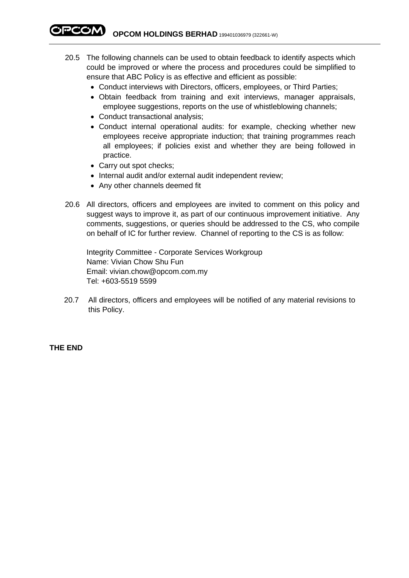PCOM) **OPCOM HOLDINGS BERHAD** 199401036979 (322661-W)

- 20.5 The following channels can be used to obtain feedback to identify aspects which could be improved or where the process and procedures could be simplified to ensure that ABC Policy is as effective and efficient as possible:
	- Conduct interviews with Directors, officers, employees, or Third Parties;
	- Obtain feedback from training and exit interviews, manager appraisals, employee suggestions, reports on the use of whistleblowing channels;
	- Conduct transactional analysis;
	- Conduct internal operational audits: for example, checking whether new employees receive appropriate induction; that training programmes reach all employees; if policies exist and whether they are being followed in practice.
	- Carry out spot checks;
	- Internal audit and/or external audit independent review;
	- Any other channels deemed fit
- 20.6 All directors, officers and employees are invited to comment on this policy and suggest ways to improve it, as part of our continuous improvement initiative. Any comments, suggestions, or queries should be addressed to the CS, who compile on behalf of IC for further review. Channel of reporting to the CS is as follow:

Integrity Committee - Corporate Services Workgroup Name: Vivian Chow Shu Fun Email: vivian.chow@opcom.com.my Tel: +603-5519 5599

20.7 All directors, officers and employees will be notified of any material revisions to this Policy.

### **THE END**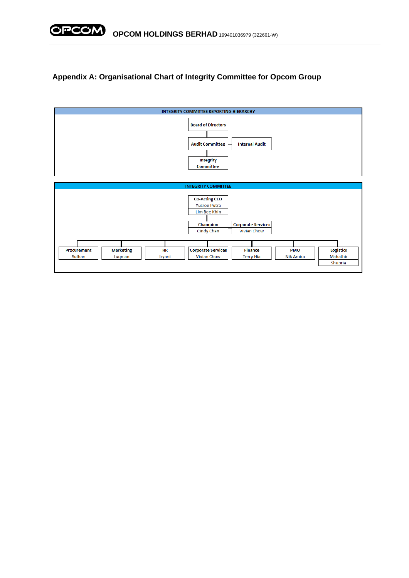

## **Appendix A: Organisational Chart of Integrity Committee for Opcom Group**

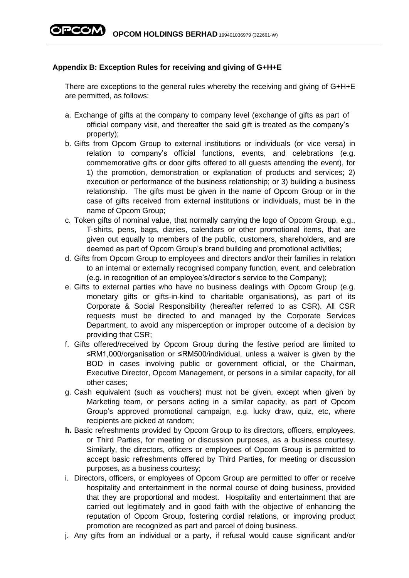## **Appendix B: Exception Rules for receiving and giving of G+H+E**

There are exceptions to the general rules whereby the receiving and giving of G+H+E are permitted, as follows:

- a. Exchange of gifts at the company to company level (exchange of gifts as part of official company visit, and thereafter the said gift is treated as the company's property);
- b. Gifts from Opcom Group to external institutions or individuals (or vice versa) in relation to company's official functions, events, and celebrations (e.g. commemorative gifts or door gifts offered to all guests attending the event), for 1) the promotion, demonstration or explanation of products and services; 2) execution or performance of the business relationship; or 3) building a business relationship. The gifts must be given in the name of Opcom Group or in the case of gifts received from external institutions or individuals, must be in the name of Opcom Group;
- c. Token gifts of nominal value, that normally carrying the logo of Opcom Group, e.g., T-shirts, pens, bags, diaries, calendars or other promotional items, that are given out equally to members of the public, customers, shareholders, and are deemed as part of Opcom Group's brand building and promotional activities;
- d. Gifts from Opcom Group to employees and directors and/or their families in relation to an internal or externally recognised company function, event, and celebration (e.g. in recognition of an employee's/director's service to the Company);
- e. Gifts to external parties who have no business dealings with Opcom Group (e.g. monetary gifts or gifts-in-kind to charitable organisations), as part of its Corporate & Social Responsibility (hereafter referred to as CSR). All CSR requests must be directed to and managed by the Corporate Services Department, to avoid any misperception or improper outcome of a decision by providing that CSR;
- f. Gifts offered/received by Opcom Group during the festive period are limited to ≤RM1,000/organisation or ≤RM500/individual, unless a waiver is given by the BOD in cases involving public or government official, or the Chairman, Executive Director, Opcom Management, or persons in a similar capacity, for all other cases;
- g. Cash equivalent (such as vouchers) must not be given, except when given by Marketing team, or persons acting in a similar capacity, as part of Opcom Group's approved promotional campaign, e.g. lucky draw, quiz, etc, where recipients are picked at random;
- **h.** Basic refreshments provided by Opcom Group to its directors, officers, employees, or Third Parties, for meeting or discussion purposes, as a business courtesy. Similarly, the directors, officers or employees of Opcom Group is permitted to accept basic refreshments offered by Third Parties, for meeting or discussion purposes, as a business courtesy;
- i. Directors, officers, or employees of Opcom Group are permitted to offer or receive hospitality and entertainment in the normal course of doing business, provided that they are proportional and modest. Hospitality and entertainment that are carried out legitimately and in good faith with the objective of enhancing the reputation of Opcom Group, fostering cordial relations, or improving product promotion are recognized as part and parcel of doing business.
- j. Any gifts from an individual or a party, if refusal would cause significant and/or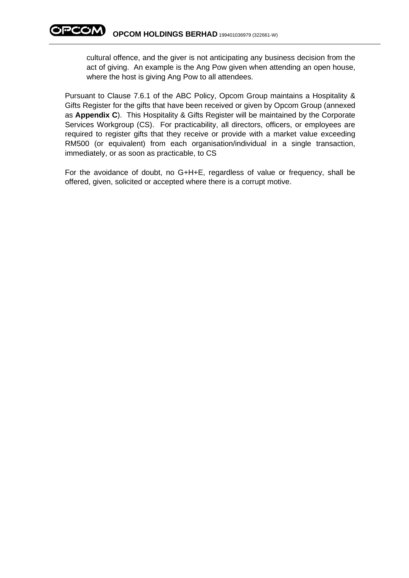cultural offence, and the giver is not anticipating any business decision from the act of giving. An example is the Ang Pow given when attending an open house, where the host is giving Ang Pow to all attendees.

Pursuant to Clause 7.6.1 of the ABC Policy, Opcom Group maintains a Hospitality & Gifts Register for the gifts that have been received or given by Opcom Group (annexed as **Appendix C**). This Hospitality & Gifts Register will be maintained by the Corporate Services Workgroup (CS). For practicability, all directors, officers, or employees are required to register gifts that they receive or provide with a market value exceeding RM500 (or equivalent) from each organisation/individual in a single transaction, immediately, or as soon as practicable, to CS

For the avoidance of doubt, no G+H+E, regardless of value or frequency, shall be offered, given, solicited or accepted where there is a corrupt motive.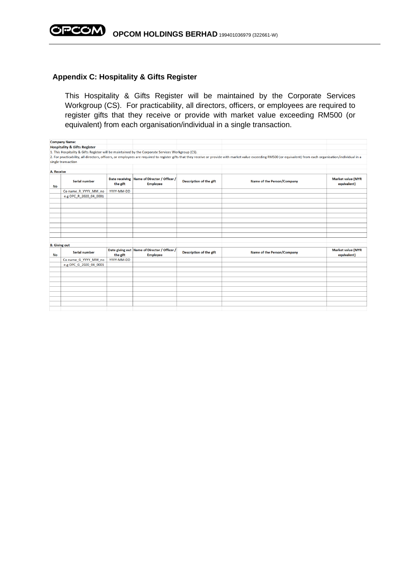

#### **Appendix C: Hospitality & Gifts Register**

This Hospitality & Gifts Register will be maintained by the Corporate Services Workgroup (CS). For practicability, all directors, officers, or employees are required to register gifts that they receive or provide with market value exceeding RM500 (or equivalent) from each organisation/individual in a single transaction.

|                      | <b>Company Name:</b>                                                                              |            |                                                                 |                         |                                                                                                                                                                                                                   |                                         |
|----------------------|---------------------------------------------------------------------------------------------------|------------|-----------------------------------------------------------------|-------------------------|-------------------------------------------------------------------------------------------------------------------------------------------------------------------------------------------------------------------|-----------------------------------------|
|                      | <b>Hospitality &amp; Gifts Register</b>                                                           |            |                                                                 |                         |                                                                                                                                                                                                                   |                                         |
|                      | 1. This Hospitality & Gifts Register will be maintained by the Corporate Services Workgroup (CS). |            |                                                                 |                         |                                                                                                                                                                                                                   |                                         |
|                      |                                                                                                   |            |                                                                 |                         | 2. For practicability, all directors, officers, or employees are required to register gifts that they receive or provide with market value exceeding RM500 (or equivalent) from each organisation/individual in a |                                         |
|                      | single transaction                                                                                |            |                                                                 |                         |                                                                                                                                                                                                                   |                                         |
|                      |                                                                                                   |            |                                                                 |                         |                                                                                                                                                                                                                   |                                         |
| A. Receive           |                                                                                                   |            |                                                                 |                         |                                                                                                                                                                                                                   |                                         |
| No                   | <b>Serial number</b>                                                                              | the gift   | Date receiving Name of Director / Officer /<br><b>Employee</b>  | Description of the gift | Name of the Person/Company                                                                                                                                                                                        | <b>Market value (MYR</b><br>equivalent) |
|                      | Co name_R_YYYY_MM_no                                                                              | YYYY-MM-DD |                                                                 |                         |                                                                                                                                                                                                                   |                                         |
|                      | e.g OPC R 2020 04 0001                                                                            |            |                                                                 |                         |                                                                                                                                                                                                                   |                                         |
|                      |                                                                                                   |            |                                                                 |                         |                                                                                                                                                                                                                   |                                         |
|                      |                                                                                                   |            |                                                                 |                         |                                                                                                                                                                                                                   |                                         |
|                      |                                                                                                   |            |                                                                 |                         |                                                                                                                                                                                                                   |                                         |
|                      |                                                                                                   |            |                                                                 |                         |                                                                                                                                                                                                                   |                                         |
|                      |                                                                                                   |            |                                                                 |                         |                                                                                                                                                                                                                   |                                         |
|                      |                                                                                                   |            |                                                                 |                         |                                                                                                                                                                                                                   |                                         |
|                      |                                                                                                   |            |                                                                 |                         |                                                                                                                                                                                                                   |                                         |
|                      |                                                                                                   |            |                                                                 |                         |                                                                                                                                                                                                                   |                                         |
|                      |                                                                                                   |            |                                                                 |                         |                                                                                                                                                                                                                   |                                         |
| <b>B.</b> Giving out |                                                                                                   |            |                                                                 |                         |                                                                                                                                                                                                                   |                                         |
| No                   | Serial number                                                                                     | the gift   | Date giving out Name of Director / Officer /<br><b>Employee</b> | Description of the gift | Name of the Person/Company                                                                                                                                                                                        | <b>Market value (MYR</b><br>equivalent) |
|                      | Co name G YYYY MM no                                                                              | YYYY-MM-DD |                                                                 |                         |                                                                                                                                                                                                                   |                                         |
|                      | e.g OPC G 2020 04 0001                                                                            |            |                                                                 |                         |                                                                                                                                                                                                                   |                                         |
|                      |                                                                                                   |            |                                                                 |                         |                                                                                                                                                                                                                   |                                         |
|                      |                                                                                                   |            |                                                                 |                         |                                                                                                                                                                                                                   |                                         |
|                      |                                                                                                   |            |                                                                 |                         |                                                                                                                                                                                                                   |                                         |
|                      |                                                                                                   |            |                                                                 |                         |                                                                                                                                                                                                                   |                                         |
|                      |                                                                                                   |            |                                                                 |                         |                                                                                                                                                                                                                   |                                         |
|                      |                                                                                                   |            |                                                                 |                         |                                                                                                                                                                                                                   |                                         |
|                      |                                                                                                   |            |                                                                 |                         |                                                                                                                                                                                                                   |                                         |
|                      |                                                                                                   |            |                                                                 |                         |                                                                                                                                                                                                                   |                                         |
|                      |                                                                                                   |            |                                                                 |                         |                                                                                                                                                                                                                   |                                         |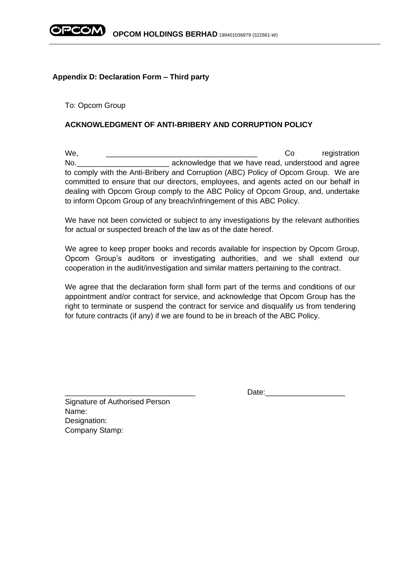

### **Appendix D: Declaration Form – Third party**

To: Opcom Group

## **ACKNOWLEDGMENT OF ANTI-BRIBERY AND CORRUPTION POLICY**

We, we we construct the contract of the contract of the contract of the contract of the contract of the contract of the contract of the contract of the contract of the contract of the contract of the contract of the contra No. The sum acknowledge that we have read, understood and agree to comply with the Anti-Bribery and Corruption (ABC) Policy of Opcom Group. We are committed to ensure that our directors, employees, and agents acted on our behalf in dealing with Opcom Group comply to the ABC Policy of Opcom Group, and, undertake to inform Opcom Group of any breach/infringement of this ABC Policy.

We have not been convicted or subject to any investigations by the relevant authorities for actual or suspected breach of the law as of the date hereof.

We agree to keep proper books and records available for inspection by Opcom Group, Opcom Group's auditors or investigating authorities, and we shall extend our cooperation in the audit/investigation and similar matters pertaining to the contract.

We agree that the declaration form shall form part of the terms and conditions of our appointment and/or contract for service, and acknowledge that Opcom Group has the right to terminate or suspend the contract for service and disqualify us from tendering for future contracts (if any) if we are found to be in breach of the ABC Policy.

Signature of Authorised Person Name: Designation: Company Stamp:

\_\_\_\_\_\_\_\_\_\_\_\_\_\_\_\_\_\_\_\_\_\_\_\_\_\_\_\_\_\_\_ Date:\_\_\_\_\_\_\_\_\_\_\_\_\_\_\_\_\_\_\_